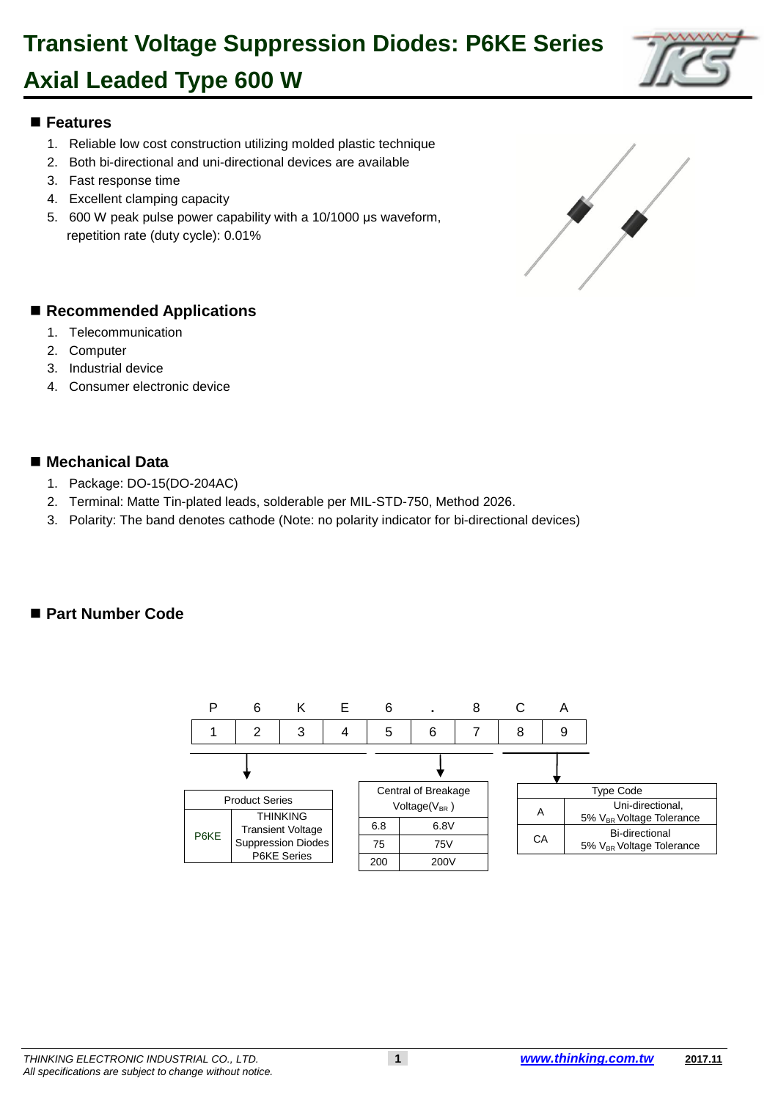#### 1 **Features**

- 1. Reliable low cost construction utilizing molded plastic technique
- 3 2. Both bi-directional and uni-directional devices are available
- 3. Fast response time
- 4. Excellent clamping capacity

**Axial Leaded Type 600 W**

6 5. 600 W peak pulse power capability with a 10/1000 μs waveform, repetition rate (duty cycle): 0.01%

#### ■ Recommended Applications

- 1. Telecommunication
- 2. Computer
- 3. Industrial device
- 4. Consumer electronic device

#### ■ Mechanical Data

- 20 1. Package: DO-15(DO-204AC)
- 2. Terminal: Matte Tin-plated leads, solderable per MIL-STD-750, Method 2026.
- 22 3. Polarity: The band denotes cathode (Note: no polarity indicator for bi-directional devices)

#### ■ Part Number Code







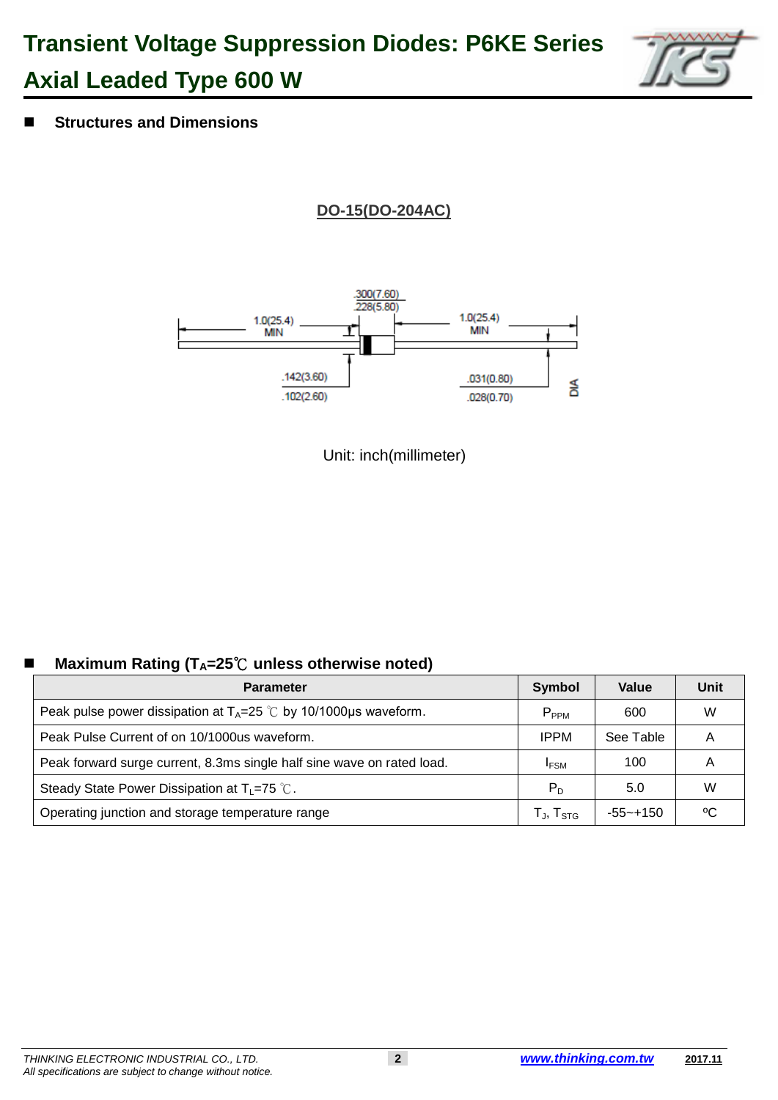## **Transient Voltage Suppression Diodes: P6KE Series Axial Leaded Type 600 W**



44 **Structures and Dimensions**

**DO-15(DO-204AC)**



Unit: inch(millimeter)

### **Maximum Rating (T<sub>A</sub>=25℃ unless otherwise noted)**

| <b>Parameter</b>                                                       | Symbol                      | Value       | Unit |
|------------------------------------------------------------------------|-----------------------------|-------------|------|
| Peak pulse power dissipation at $T_A=25$ °C by 10/1000 µs waveform.    | $P_{PPM}$                   | 600         | W    |
| Peak Pulse Current of on 10/1000us waveform.                           | <b>IPPM</b>                 | See Table   | А    |
| Peak forward surge current, 8.3ms single half sine wave on rated load. | <b>IFSM</b>                 | 100         | Α    |
| Steady State Power Dissipation at $T_L = 75$ °C.                       | $P_D$                       | 5.0         | W    |
| Operating junction and storage temperature range                       | $T_{\sf J}$ , $T_{\sf STG}$ | $-55$ ~+150 | °C   |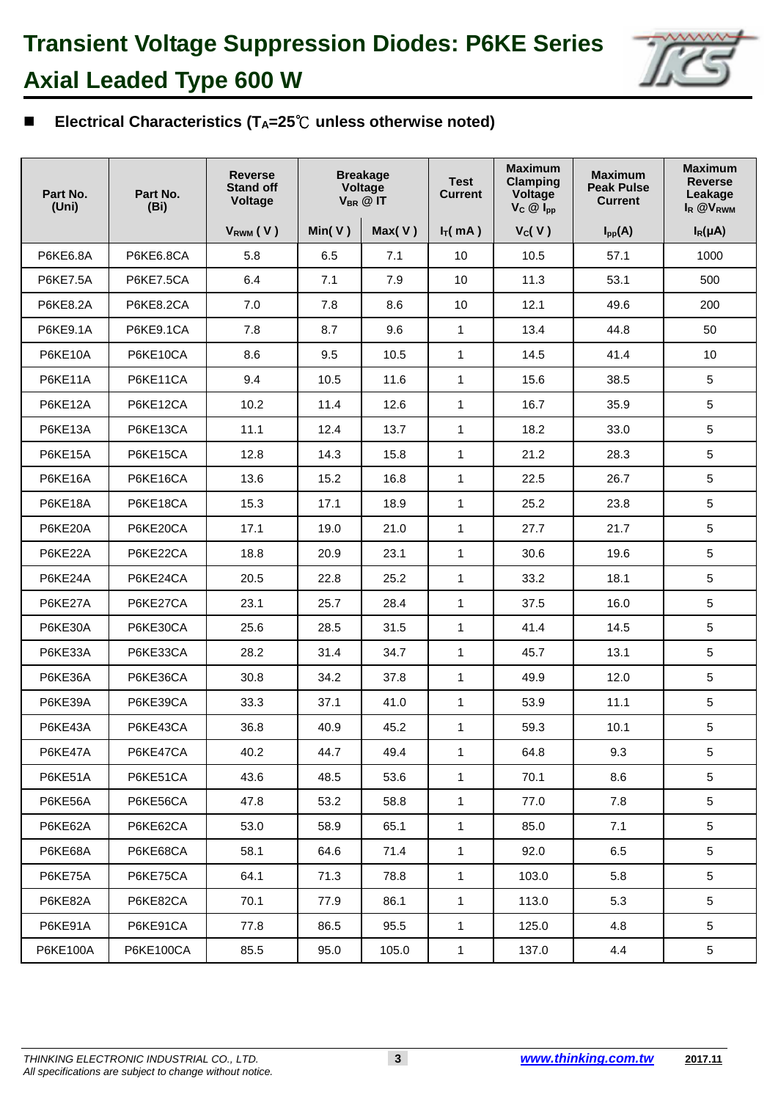

### 72 **Electrical Characteristics (TA=25**℃ **unless otherwise noted)**

| Part No.<br>(Uni) | Part No.<br>(Bi) | <b>Reverse</b><br><b>Stand off</b><br><b>Voltage</b> |        | <b>Breakage</b><br>Voltage<br>$V_{BR}$ @ IT | <b>Test</b><br><b>Current</b> | <b>Maximum</b><br><b>Clamping</b><br>Voltage<br>$V_C \otimes I_{pp}$ | <b>Maximum</b><br><b>Peak Pulse</b><br><b>Current</b> | <b>Maximum</b><br><b>Reverse</b><br>Leakage<br>I <sub>R</sub> @V <sub>RWM</sub> |
|-------------------|------------------|------------------------------------------------------|--------|---------------------------------------------|-------------------------------|----------------------------------------------------------------------|-------------------------------------------------------|---------------------------------------------------------------------------------|
|                   |                  | V <sub>RWM</sub> (V)                                 | Min(V) | Max(V)                                      | $I_T(mA)$                     | V <sub>C</sub> (V)                                                   | $I_{pp}(A)$                                           | $I_R(\mu A)$                                                                    |
| <b>P6KE6.8A</b>   | P6KE6.8CA        | 5.8                                                  | 6.5    | 7.1                                         | 10                            | 10.5                                                                 | 57.1                                                  | 1000                                                                            |
| <b>P6KE7.5A</b>   | P6KE7.5CA        | 6.4                                                  | 7.1    | 7.9                                         | 10                            | 11.3                                                                 | 53.1                                                  | 500                                                                             |
| <b>P6KE8.2A</b>   | P6KE8.2CA        | 7.0                                                  | 7.8    | 8.6                                         | 10                            | 12.1                                                                 | 49.6                                                  | 200                                                                             |
| <b>P6KE9.1A</b>   | P6KE9.1CA        | 7.8                                                  | 8.7    | 9.6                                         | $\mathbf{1}$                  | 13.4                                                                 | 44.8                                                  | 50                                                                              |
| P6KE10A           | P6KE10CA         | 8.6                                                  | 9.5    | 10.5                                        | $\mathbf{1}$                  | 14.5                                                                 | 41.4                                                  | 10                                                                              |
| P6KE11A           | P6KE11CA         | 9.4                                                  | 10.5   | 11.6                                        | $\mathbf{1}$                  | 15.6                                                                 | 38.5                                                  | 5                                                                               |
| P6KE12A           | P6KE12CA         | 10.2                                                 | 11.4   | 12.6                                        | $\mathbf{1}$                  | 16.7                                                                 | 35.9                                                  | 5                                                                               |
| P6KE13A           | P6KE13CA         | 11.1                                                 | 12.4   | 13.7                                        | $\mathbf{1}$                  | 18.2                                                                 | 33.0                                                  | 5                                                                               |
| P6KE15A           | P6KE15CA         | 12.8                                                 | 14.3   | 15.8                                        | $\mathbf{1}$                  | 21.2                                                                 | 28.3                                                  | 5                                                                               |
| <b>P6KE16A</b>    | P6KE16CA         | 13.6                                                 | 15.2   | 16.8                                        | $\mathbf{1}$                  | 22.5                                                                 | 26.7                                                  | 5                                                                               |
| P6KE18A           | P6KE18CA         | 15.3                                                 | 17.1   | 18.9                                        | $\mathbf{1}$                  | 25.2                                                                 | 23.8                                                  | 5                                                                               |
| P6KE20A           | P6KE20CA         | 17.1                                                 | 19.0   | 21.0                                        | $\mathbf{1}$                  | 27.7                                                                 | 21.7                                                  | 5                                                                               |
| P6KE22A           | P6KE22CA         | 18.8                                                 | 20.9   | 23.1                                        | $\mathbf{1}$                  | 30.6                                                                 | 19.6                                                  | 5                                                                               |
| P6KE24A           | P6KE24CA         | 20.5                                                 | 22.8   | 25.2                                        | $\mathbf{1}$                  | 33.2                                                                 | 18.1                                                  | 5                                                                               |
| P6KE27A           | P6KE27CA         | 23.1                                                 | 25.7   | 28.4                                        | $\mathbf{1}$                  | 37.5                                                                 | 16.0                                                  | 5                                                                               |
| P6KE30A           | P6KE30CA         | 25.6                                                 | 28.5   | 31.5                                        | $\mathbf{1}$                  | 41.4                                                                 | 14.5                                                  | 5                                                                               |
| P6KE33A           | P6KE33CA         | 28.2                                                 | 31.4   | 34.7                                        | $\mathbf{1}$                  | 45.7                                                                 | 13.1                                                  | $\overline{5}$                                                                  |
| P6KE36A           | P6KE36CA         | 30.8                                                 | 34.2   | 37.8                                        | $\mathbf{1}$                  | 49.9                                                                 | 12.0                                                  | 5                                                                               |
| P6KE39A           | P6KE39CA         | 33.3                                                 | 37.1   | 41.0                                        | $\mathbf{1}$                  | 53.9                                                                 | 11.1                                                  | 5                                                                               |
| P6KE43A           | P6KE43CA         | 36.8                                                 | 40.9   | 45.2                                        | $\mathbf{1}$                  | 59.3                                                                 | 10.1                                                  | 5                                                                               |
| P6KE47A           | P6KE47CA         | 40.2                                                 | 44.7   | 49.4                                        | $\mathbf{1}$                  | 64.8                                                                 | 9.3                                                   | $\sqrt{5}$                                                                      |
| P6KE51A           | P6KE51CA         | 43.6                                                 | 48.5   | 53.6                                        | $\mathbf{1}$                  | 70.1                                                                 | 8.6                                                   | $5\phantom{.0}$                                                                 |
| P6KE56A           | P6KE56CA         | 47.8                                                 | 53.2   | 58.8                                        | $\mathbf{1}$                  | 77.0                                                                 | 7.8                                                   | $5\phantom{.0}$                                                                 |
| P6KE62A           | P6KE62CA         | 53.0                                                 | 58.9   | 65.1                                        | $\mathbf{1}$                  | 85.0                                                                 | 7.1                                                   | 5                                                                               |
| P6KE68A           | P6KE68CA         | 58.1                                                 | 64.6   | 71.4                                        | $\mathbf{1}$                  | 92.0                                                                 | 6.5                                                   | 5                                                                               |
| P6KE75A           | P6KE75CA         | 64.1                                                 | 71.3   | 78.8                                        | $\mathbf{1}$                  | 103.0                                                                | 5.8                                                   | 5                                                                               |
| P6KE82A           | P6KE82CA         | 70.1                                                 | 77.9   | 86.1                                        | $\mathbf{1}$                  | 113.0                                                                | 5.3                                                   | 5                                                                               |
| P6KE91A           | P6KE91CA         | 77.8                                                 | 86.5   | 95.5                                        | $\mathbf{1}$                  | 125.0                                                                | 4.8                                                   | $5\phantom{.0}$                                                                 |
| P6KE100A          | P6KE100CA        | 85.5                                                 | 95.0   | 105.0                                       | $\mathbf{1}$                  | 137.0                                                                | 4.4                                                   | 5                                                                               |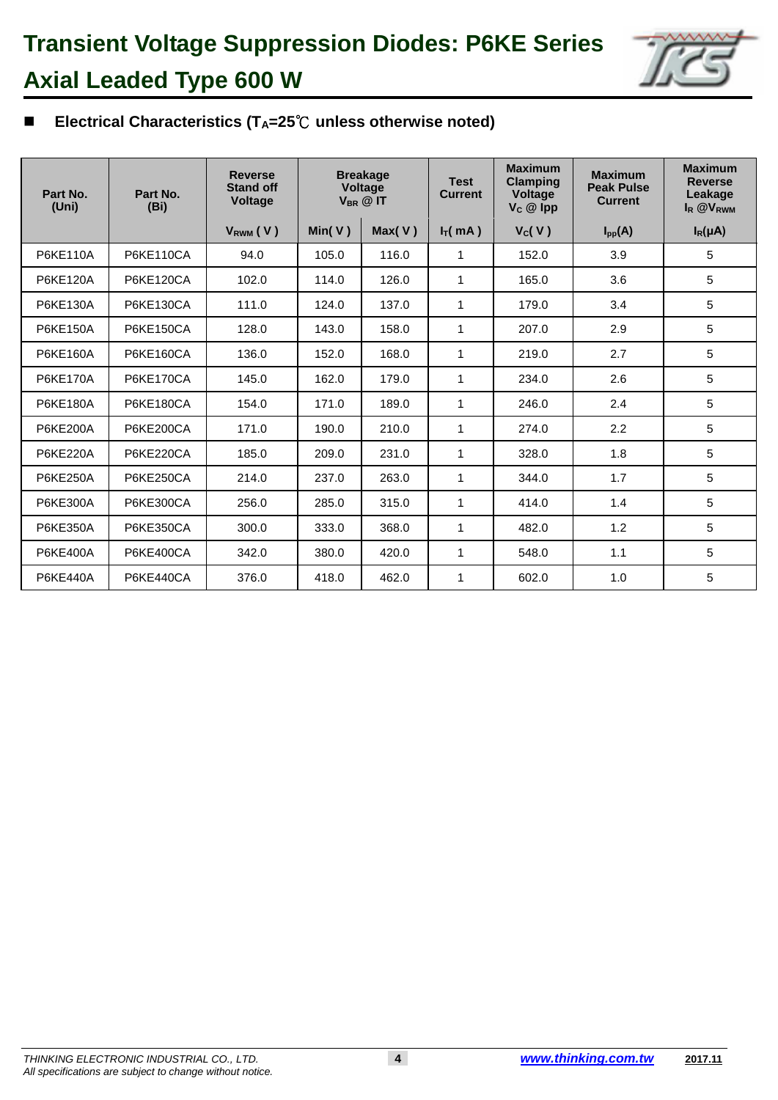

### 77 **Electrical Characteristics (TA=25**℃ **unless otherwise noted)**

| Part No.<br>(Uni) | Part No.<br>(B <sub>i</sub> ) | <b>Reverse</b><br><b>Stand off</b><br><b>Voltage</b> |        | <b>Breakage</b><br>Voltage<br>$V_{BR}$ @ IT | <b>Test</b><br><b>Current</b> | <b>Maximum</b><br><b>Clamping</b><br><b>Voltage</b><br>$V_c \otimes$ Ipp | <b>Maximum</b><br><b>Peak Pulse</b><br><b>Current</b> | <b>Maximum</b><br><b>Reverse</b><br>Leakage<br>I <sub>R</sub> @V <sub>RWM</sub> |
|-------------------|-------------------------------|------------------------------------------------------|--------|---------------------------------------------|-------------------------------|--------------------------------------------------------------------------|-------------------------------------------------------|---------------------------------------------------------------------------------|
|                   |                               | V <sub>RWM</sub> (V)                                 | Min(V) | Max(V)                                      | $I_T(mA)$                     | V <sub>C</sub> (V)                                                       | $I_{\text{pp}}(A)$                                    | $I_R(\mu A)$                                                                    |
| P6KE110A          | <b>P6KE110CA</b>              | 94.0                                                 | 105.0  | 116.0                                       | 1                             | 152.0                                                                    | 3.9                                                   | 5                                                                               |
| P6KE120A          | <b>P6KE120CA</b>              | 102.0                                                | 114.0  | 126.0                                       | 1                             | 165.0                                                                    | 3.6                                                   | 5                                                                               |
| P6KE130A          | <b>P6KE130CA</b>              | 111.0                                                | 124.0  | 137.0                                       | 1                             | 179.0                                                                    | 3.4                                                   | 5                                                                               |
| P6KE150A          | <b>P6KE150CA</b>              | 128.0                                                | 143.0  | 158.0                                       | 1                             | 207.0                                                                    | 2.9                                                   | 5                                                                               |
| P6KE160A          | <b>P6KE160CA</b>              | 136.0                                                | 152.0  | 168.0                                       | 1                             | 219.0                                                                    | 2.7                                                   | 5                                                                               |
| <b>P6KE170A</b>   | <b>P6KE170CA</b>              | 145.0                                                | 162.0  | 179.0                                       | 1                             | 234.0                                                                    | 2.6                                                   | 5                                                                               |
| P6KE180A          | <b>P6KE180CA</b>              | 154.0                                                | 171.0  | 189.0                                       | 1                             | 246.0                                                                    | 2.4                                                   | 5                                                                               |
| P6KE200A          | <b>P6KE200CA</b>              | 171.0                                                | 190.0  | 210.0                                       | 1                             | 274.0                                                                    | 2.2                                                   | 5                                                                               |
| <b>P6KE220A</b>   | <b>P6KE220CA</b>              | 185.0                                                | 209.0  | 231.0                                       | 1                             | 328.0                                                                    | 1.8                                                   | 5                                                                               |
| P6KE250A          | <b>P6KE250CA</b>              | 214.0                                                | 237.0  | 263.0                                       | 1                             | 344.0                                                                    | 1.7                                                   | 5                                                                               |
| P6KE300A          | <b>P6KE300CA</b>              | 256.0                                                | 285.0  | 315.0                                       | 1                             | 414.0                                                                    | 1.4                                                   | 5                                                                               |
| P6KE350A          | <b>P6KE350CA</b>              | 300.0                                                | 333.0  | 368.0                                       | 1                             | 482.0                                                                    | 1.2                                                   | 5                                                                               |
| P6KE400A          | <b>P6KE400CA</b>              | 342.0                                                | 380.0  | 420.0                                       | 1                             | 548.0                                                                    | 1.1                                                   | 5                                                                               |
| <b>P6KE440A</b>   | <b>P6KE440CA</b>              | 376.0                                                | 418.0  | 462.0                                       | 1                             | 602.0                                                                    | 1.0                                                   | 5                                                                               |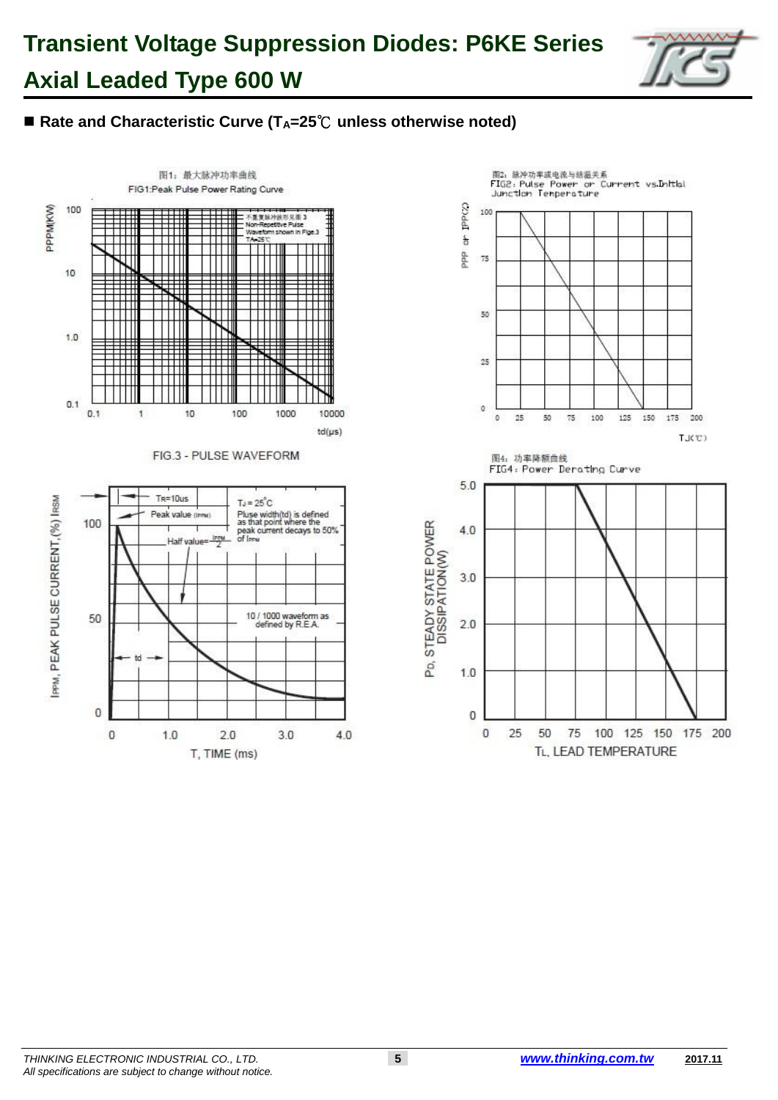# **Transient Voltage Suppression Diodes: P6KE Series Axial Leaded Type 600 W**



### ■ Rate and Characteristic Curve (T<sub>A</sub>=25<sup>°</sup>C unless otherwise noted)



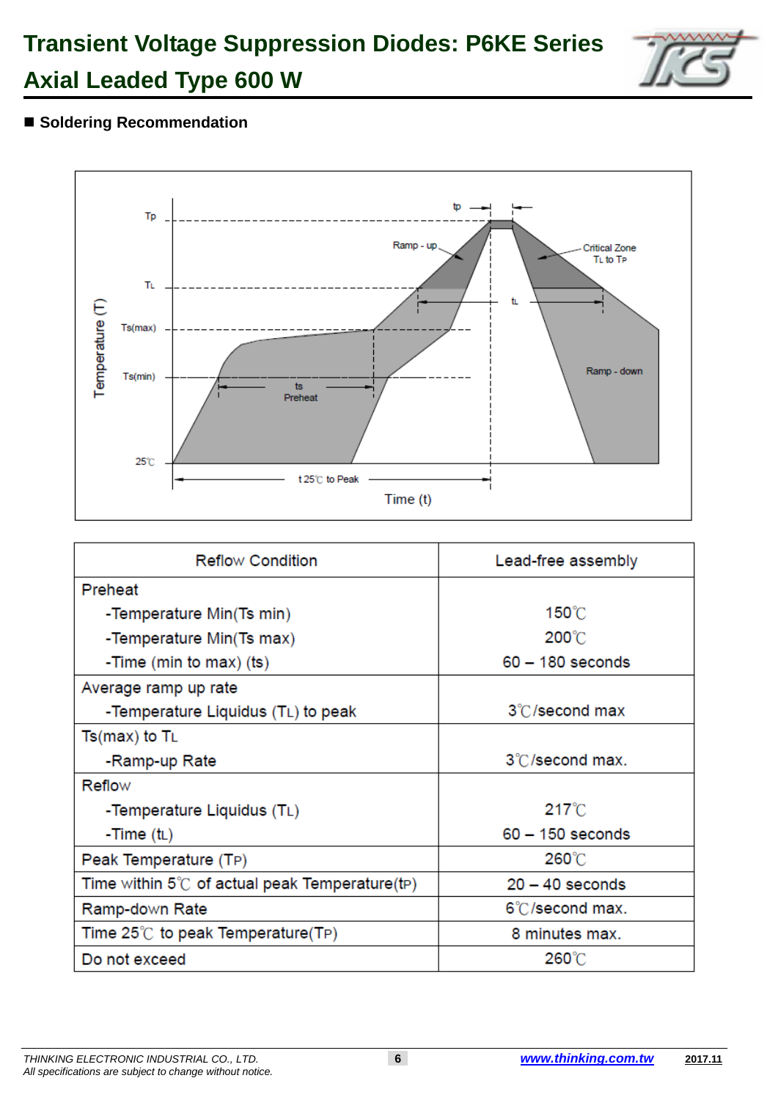## **Transient Voltage Suppression Diodes: P6KE Series Axial Leaded Type 600 W**



## ■ Soldering Recommendation



| <b>Reflow Condition</b>                                | Lead-free assembly |
|--------------------------------------------------------|--------------------|
| Preheat                                                |                    |
| -Temperature Min(Ts min)                               | 150°C              |
| -Temperature Min(Ts max)                               | $200^{\circ}$ C    |
| -Time (min to max) (ts)                                | $60 - 180$ seconds |
| Average ramp up rate                                   |                    |
| -Temperature Liquidus (TL) to peak                     | 3°C/second max     |
| $Ts(max)$ to $T_L$                                     |                    |
| -Ramp-up Rate                                          | 3°C/second max.    |
| Reflow                                                 |                    |
| -Temperature Liquidus (TL)                             | $217^{\circ}$ C    |
| -Time $(t_L)$                                          | $60 - 150$ seconds |
| Peak Temperature (TP)                                  | 260°C              |
| Time within $5^{\circ}$ of actual peak Temperature(tp) | $20 - 40$ seconds  |
| Ramp-down Rate                                         | 6°C/second max.    |
| Time $25^{\circ}$ to peak Temperature(TP)              | 8 minutes max.     |
| Do not exceed                                          | 260°C              |